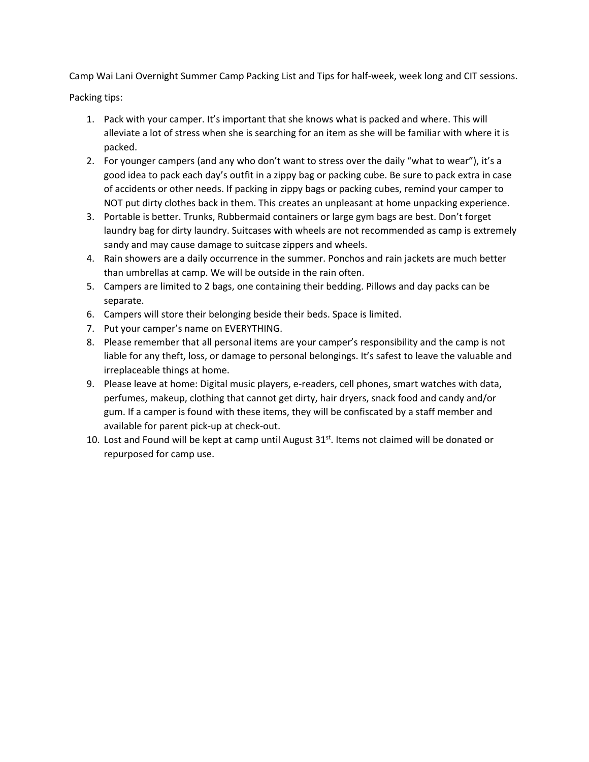Camp Wai Lani Overnight Summer Camp Packing List and Tips for half-week, week long and CIT sessions.

Packing tips:

- 1. Pack with your camper. It's important that she knows what is packed and where. This will alleviate a lot of stress when she is searching for an item as she will be familiar with where it is packed.
- 2. For younger campers (and any who don't want to stress over the daily "what to wear"), it's a good idea to pack each day's outfit in a zippy bag or packing cube. Be sure to pack extra in case of accidents or other needs. If packing in zippy bags or packing cubes, remind your camper to NOT put dirty clothes back in them. This creates an unpleasant at home unpacking experience.
- 3. Portable is better. Trunks, Rubbermaid containers or large gym bags are best. Don't forget laundry bag for dirty laundry. Suitcases with wheels are not recommended as camp is extremely sandy and may cause damage to suitcase zippers and wheels.
- 4. Rain showers are a daily occurrence in the summer. Ponchos and rain jackets are much better than umbrellas at camp. We will be outside in the rain often.
- 5. Campers are limited to 2 bags, one containing their bedding. Pillows and day packs can be separate.
- 6. Campers will store their belonging beside their beds. Space is limited.
- 7. Put your camper's name on EVERYTHING.
- 8. Please remember that all personal items are your camper's responsibility and the camp is not liable for any theft, loss, or damage to personal belongings. It's safest to leave the valuable and irreplaceable things at home.
- 9. Please leave at home: Digital music players, e-readers, cell phones, smart watches with data, perfumes, makeup, clothing that cannot get dirty, hair dryers, snack food and candy and/or gum. If a camper is found with these items, they will be confiscated by a staff member and available for parent pick-up at check-out.
- 10. Lost and Found will be kept at camp until August  $31<sup>st</sup>$ . Items not claimed will be donated or repurposed for camp use.